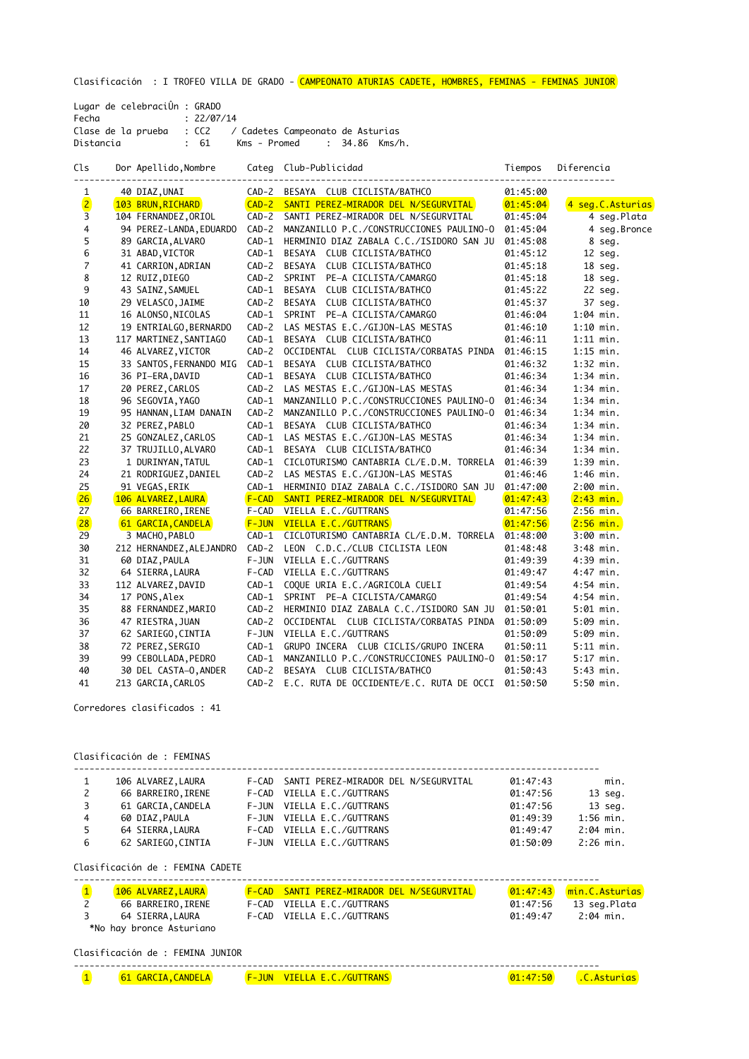Clasificación : I TROFEO VILLA DE GRADO - <mark>CAMPEONATO ATURIAS CADETE, HOMBRES, FEMINAS - FEMINAS JUNIOR</mark>

| Lugar de celebraciÛn : GRADO |                                                        |  |
|------------------------------|--------------------------------------------------------|--|
| Fecha                        | : 22/07/14                                             |  |
| Clase de la prueba           | : CC2 / Cadetes Campeonato de Asturias                 |  |
| Distancia                    | Kms - Promed       :  34.86  Kms/h.<br>$\therefore$ 61 |  |

Cls Dor Apellido, Nombre Categ Club-Publicidad Tiempos Diferencia

| 1              | 40 DIAZ, UNAI            |              | CAD-2 BESAYA CLUB CICLISTA/BATHCO              | 01:45:00 |                  |
|----------------|--------------------------|--------------|------------------------------------------------|----------|------------------|
| $\frac{2}{3}$  | 103 BRUN, RICHARD        |              | CAD-2 SANTI PEREZ-MIRADOR DEL N/SEGURVITAL     | 01:45:04 | 4 seg.C.Asturias |
|                | 104 FERNANDEZ, ORIOL     | $CAD-2$      | SANTI PEREZ-MIRADOR DEL N/SEGURVITAL           | 01:45:04 | 4 seg.Plata      |
| 4              | 94 PEREZ-LANDA, EDUARDO  | $CAD-2$      | MANZANILLO P.C./CONSTRUCCIONES PAULINO-0       | 01:45:04 | 4 seg.Bronce     |
| 5              | 89 GARCIA, ALVARO        | $CAD-1$      | HERMINIO DIAZ ZABALA C.C./ISIDORO SAN JU       | 01:45:08 | 8 seg.           |
| 6              | 31 ABAD, VICTOR          | $CAD-1$      | BESAYA<br>CLUB CICLISTA/BATHCO                 | 01:45:12 | 12 seg.          |
| $\overline{7}$ | 41 CARRION, ADRIAN       | $CAD-2$      | CLUB CICLISTA/BATHCO<br><b>BESAYA</b>          | 01:45:18 | 18 seg.          |
| 8              | 12 RUIZ, DIEGO           |              | CAD-2 SPRINT<br>PE-A CICLISTA/CAMARGO          | 01:45:18 | 18 seg.          |
| 9              | 43 SAINZ, SAMUEL         | $CAD-1$      | BESAYA CLUB CICLISTA/BATHCO                    | 01:45:22 | 22 seg.          |
| 10             | 29 VELASCO, JAIME        | $CAD-2$      | BESAYA CLUB CICLISTA/BATHCO                    | 01:45:37 | 37 seg.          |
| 11             | 16 ALONSO, NICOLAS       | $CAD-1$      | SPRINT PE-A CICLISTA/CAMARGO                   | 01:46:04 | $1:04$ min.      |
| 12             | 19 ENTRIALGO, BERNARDO   | $CAD-2$      | LAS MESTAS E.C./GIJON-LAS MESTAS               | 01:46:10 | $1:10$ min.      |
| 13             | 117 MARTINEZ, SANTIAGO   | $CAD-1$      | BESAYA CLUB CICLISTA/BATHCO                    | 01:46:11 | $1:11$ min.      |
| 14             | 46 ALVAREZ, VICTOR       | $CAD-2$      | OCCIDENTAL CLUB CICLISTA/CORBATAS PINDA        | 01:46:15 | $1:15$ min.      |
| 15             | 33 SANTOS, FERNANDO MIG  | $CAD-1$      | BESAYA CLUB CICLISTA/BATHCO                    | 01:46:32 | $1:32$ min.      |
| 16             | 36 PI-ERA, DAVID         | $CAD-1$      | BESAYA CLUB CICLISTA/BATHCO                    | 01:46:34 | $1:34$ min.      |
| 17             | 20 PEREZ, CARLOS         | $CAD-2$      | LAS MESTAS E.C./GIJON-LAS MESTAS               | 01:46:34 | $1:34$ min.      |
| 18             | 96 SEGOVIA, YAGO         | $CAD-1$      | MANZANILLO P.C./CONSTRUCCIONES PAULINO-0       | 01:46:34 | $1:34$ min.      |
| 19             | 95 HANNAN, LIAM DANAIN   | $CAD-2$      | MANZANILLO P.C./CONSTRUCCIONES PAULINO-0       | 01:46:34 | $1:34$ min.      |
| 20             | 32 PEREZ, PABLO          | $CAD-1$      | BESAYA CLUB CICLISTA/BATHCO                    | 01:46:34 | $1:34$ min.      |
| 21             | 25 GONZALEZ, CARLOS      | $CAD-1$      | LAS MESTAS E.C./GIJON-LAS MESTAS               | 01:46:34 | $1:34$ min.      |
| 22             | 37 TRUJILLO, ALVARO      | $CAD-1$      | BESAYA CLUB CICLISTA/BATHCO                    | 01:46:34 | $1:34$ min.      |
| 23             | 1 DURINYAN, TATUL        | $CAD-1$      | CICLOTURISMO CANTABRIA CL/E.D.M. TORRELA       | 01:46:39 | $1:39$ min.      |
| 24             | 21 RODRIGUEZ, DANIEL     | $CAD-2$      | LAS MESTAS E.C./GIJON-LAS MESTAS               | 01:46:46 | $1:46$ min.      |
| 25             | 91 VEGAS, ERIK           | $CAD-1$      | HERMINIO DIAZ ZABALA C.C./ISIDORO SAN JU       | 01:47:00 | $2:00$ min.      |
| 26             | 106 ALVAREZ, LAURA       | $F-CAD$      | SANTI PEREZ-MIRADOR DEL N/SEGURVITAL           | 01:47:43 | $2:43$ min.      |
| 27             | 66 BARREIRO, IRENE       | F-CAD        | VIELLA E.C./GUTTRANS                           | 01:47:56 | $2:56$ min.      |
| 28             | 61 GARCIA, CANDELA       | <b>F-JUN</b> | VIELLA E.C./GUTTRANS                           | 01:47:56 | $2:56$ min.      |
| 29             | 3 MACHO, PABLO           | $CAD-1$      | CICLOTURISMO CANTABRIA CL/E.D.M. TORRELA       | 01:48:00 | 3:00 min.        |
| 30             | 212 HERNANDEZ, ALEJANDRO | $CAD-2$      | LEON C.D.C./CLUB CICLISTA LEON                 | 01:48:48 | $3:48$ min.      |
| 31             | 60 DIAZ, PAULA           | $F-JUN$      | VIELLA E.C./GUTTRANS                           | 01:49:39 | $4:39$ min.      |
| 32             | 64 SIERRA, LAURA         | F-CAD        | VIELLA E.C./GUTTRANS                           | 01:49:47 | $4:47$ min.      |
| 33             | 112 ALVAREZ, DAVID       | CAD-1        | COQUE URIA E.C./AGRICOLA CUELI                 | 01:49:54 | $4:54$ min.      |
| 34             | 17 PONS, Alex            | $CAD-1$      | SPRINT PE-A CICLISTA/CAMARGO                   | 01:49:54 | $4:54$ min.      |
| 35             | 88 FERNANDEZ, MARIO      | $CAD-2$      | HERMINIO DIAZ ZABALA C.C./ISIDORO SAN JU       | 01:50:01 | $5:01$ min.      |
| 36             | 47 RIESTRA, JUAN         | $CAD-2$      | OCCIDENTAL CLUB CICLISTA/CORBATAS PINDA        | 01:50:09 | 5:09 min.        |
| 37             | 62 SARIEGO, CINTIA       | $F-JUN$      | VIELLA E.C./GUTTRANS                           | 01:50:09 | 5:09 min.        |
| 38             | 72 PEREZ, SERGIO         | $CAD-1$      | GRUPO INCERA CLUB CICLIS/GRUPO INCERA          | 01:50:11 | $5:11$ min.      |
| 39             | 99 CEBOLLADA, PEDRO      | $CAD-1$      | MANZANILLO P.C./CONSTRUCCIONES PAULINO-0       | 01:50:17 | $5:17$ min.      |
| 40             | 30 DEL CASTA-0, ANDER    | $CAD-2$      | BESAYA CLUB CICLISTA/BATHCO                    | 01:50:43 | $5:43$ min.      |
| 41             | 213 GARCIA, CARLOS       |              | CAD-2 E.C. RUTA DE OCCIDENTE/E.C. RUTA DE OCCI | 01:50:50 | $5:50$ min.      |

Corredores clasificados : 41

Clasificación de : FEMINAS

|              | 106 ALVAREZ, LAURA | F-CAD SANTI PEREZ-MIRADOR DEL N/SEGURVITAL | 01:47:43 | min.        |
|--------------|--------------------|--------------------------------------------|----------|-------------|
| $\mathsf{2}$ | 66 BARREIRO, IRENE | F-CAD VIELLA E.C./GUTTRANS                 | 01:47:56 | 13 seg.     |
| 3            | 61 GARCIA, CANDELA | F-JUN VIELLA E.C./GUTTRANS                 | 01:47:56 | 13 seg.     |
| 4            | 60 DIAZ, PAULA     | F-JUN VIELLA E.C./GUTTRANS                 | 01:49:39 | $1:56$ min. |
| 5            | 64 SIERRA, LAURA   | F-CAD VIELLA E.C./GUTTRANS                 | 01:49:47 | $2:04$ min. |
| 6            | 62 SARIEGO, CINTIA | F-JUN VIELLA E.C./GUTTRANS                 | 01:50:09 | $2:26$ min. |

Clasificación de : FEMINA CADETE

| 106 ALVAREZ, LAURA       | <b>F-CAD SANTI PEREZ-MIRADOR DEL N/SEGURVITAL</b> |          | 01:47:43 min.C.Asturias |
|--------------------------|---------------------------------------------------|----------|-------------------------|
| 66 BARREIRO, IRENE       | F-CAD VIELLA E.C./GUTTRANS                        | 01:47:56 | 13 seg.Plata            |
| 64 SIERRA,LAURA          | F-CAD VIELLA E.C./GUTTRANS                        | 01:49:47 | 2:04 min.               |
| *No hay bronce Asturiano |                                                   |          |                         |

Clasificación de : FEMINA JUNIOR